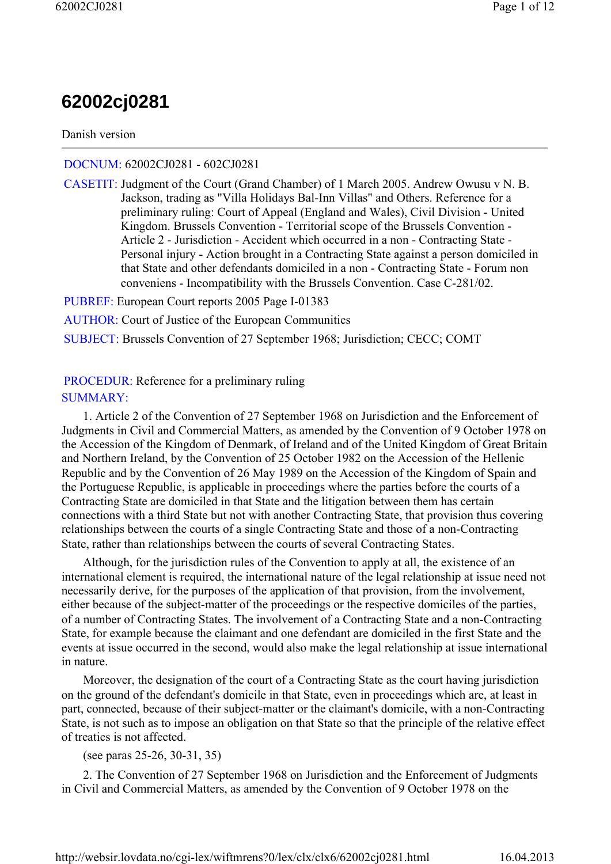# **62002cj0281**

Danish version

## DOCNUM: 62002CJ0281 - 602CJ0281

CASETIT: Judgment of the Court (Grand Chamber) of 1 March 2005. Andrew Owusu v N. B. Jackson, trading as "Villa Holidays Bal-Inn Villas" and Others. Reference for a preliminary ruling: Court of Appeal (England and Wales), Civil Division - United Kingdom. Brussels Convention - Territorial scope of the Brussels Convention - Article 2 - Jurisdiction - Accident which occurred in a non - Contracting State - Personal injury - Action brought in a Contracting State against a person domiciled in that State and other defendants domiciled in a non - Contracting State - Forum non conveniens - Incompatibility with the Brussels Convention. Case C-281/02.

PUBREF: European Court reports 2005 Page I-01383

AUTHOR: Court of Justice of the European Communities

SUBJECT: Brussels Convention of 27 September 1968; Jurisdiction; CECC; COMT

PROCEDUR: Reference for a preliminary ruling SUMMARY:

 1. Article 2 of the Convention of 27 September 1968 on Jurisdiction and the Enforcement of Judgments in Civil and Commercial Matters, as amended by the Convention of 9 October 1978 on the Accession of the Kingdom of Denmark, of Ireland and of the United Kingdom of Great Britain and Northern Ireland, by the Convention of 25 October 1982 on the Accession of the Hellenic Republic and by the Convention of 26 May 1989 on the Accession of the Kingdom of Spain and the Portuguese Republic, is applicable in proceedings where the parties before the courts of a Contracting State are domiciled in that State and the litigation between them has certain connections with a third State but not with another Contracting State, that provision thus covering relationships between the courts of a single Contracting State and those of a non-Contracting State, rather than relationships between the courts of several Contracting States.

 Although, for the jurisdiction rules of the Convention to apply at all, the existence of an international element is required, the international nature of the legal relationship at issue need not necessarily derive, for the purposes of the application of that provision, from the involvement, either because of the subject-matter of the proceedings or the respective domiciles of the parties, of a number of Contracting States. The involvement of a Contracting State and a non-Contracting State, for example because the claimant and one defendant are domiciled in the first State and the events at issue occurred in the second, would also make the legal relationship at issue international in nature.

Moreover, the designation of the court of a Contracting State as the court having jurisdiction on the ground of the defendant's domicile in that State, even in proceedings which are, at least in part, connected, because of their subject-matter or the claimant's domicile, with a non-Contracting State, is not such as to impose an obligation on that State so that the principle of the relative effect of treaties is not affected.

(see paras 25-26, 30-31, 35)

2. The Convention of 27 September 1968 on Jurisdiction and the Enforcement of Judgments in Civil and Commercial Matters, as amended by the Convention of 9 October 1978 on the

http://websir.lovdata.no/cgi-lex/wiftmrens?0/lex/clx/clx6/62002cj0281.html 16.04.2013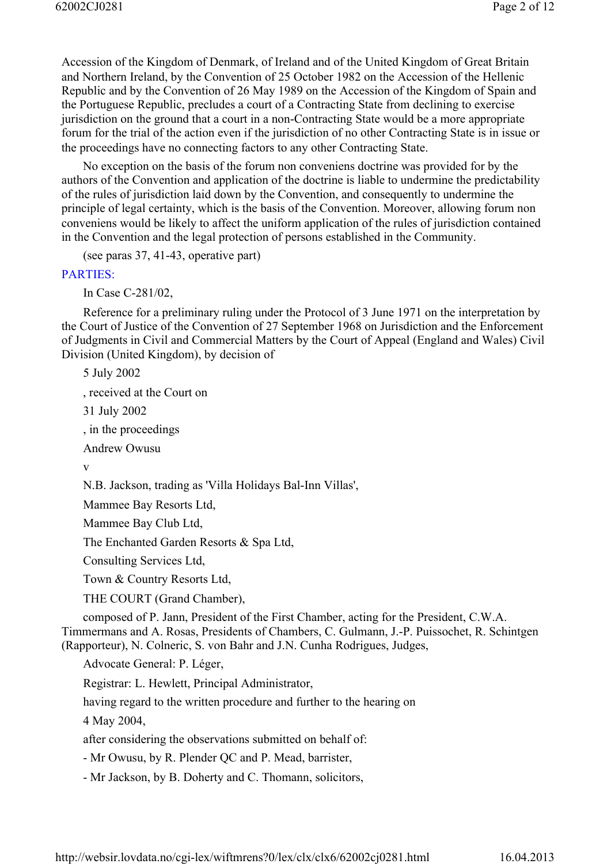Accession of the Kingdom of Denmark, of Ireland and of the United Kingdom of Great Britain and Northern Ireland, by the Convention of 25 October 1982 on the Accession of the Hellenic Republic and by the Convention of 26 May 1989 on the Accession of the Kingdom of Spain and the Portuguese Republic, precludes a court of a Contracting State from declining to exercise jurisdiction on the ground that a court in a non-Contracting State would be a more appropriate forum for the trial of the action even if the jurisdiction of no other Contracting State is in issue or the proceedings have no connecting factors to any other Contracting State.

 No exception on the basis of the forum non conveniens doctrine was provided for by the authors of the Convention and application of the doctrine is liable to undermine the predictability of the rules of jurisdiction laid down by the Convention, and consequently to undermine the principle of legal certainty, which is the basis of the Convention. Moreover, allowing forum non conveniens would be likely to affect the uniform application of the rules of jurisdiction contained in the Convention and the legal protection of persons established in the Community.

```
 (see paras 37, 41-43, operative part)
```
## PARTIES:

In Case C-281/02,

 Reference for a preliminary ruling under the Protocol of 3 June 1971 on the interpretation by the Court of Justice of the Convention of 27 September 1968 on Jurisdiction and the Enforcement of Judgments in Civil and Commercial Matters by the Court of Appeal (England and Wales) Civil Division (United Kingdom), by decision of

5 July 2002

, received at the Court on

31 July 2002

, in the proceedings

Andrew Owusu

v

N.B. Jackson, trading as 'Villa Holidays Bal-Inn Villas',

Mammee Bay Resorts Ltd,

Mammee Bay Club Ltd,

The Enchanted Garden Resorts & Spa Ltd,

Consulting Services Ltd,

Town & Country Resorts Ltd,

THE COURT (Grand Chamber),

 composed of P. Jann, President of the First Chamber, acting for the President, C.W.A. Timmermans and A. Rosas, Presidents of Chambers, C. Gulmann, J.-P. Puissochet, R. Schintgen (Rapporteur), N. Colneric, S. von Bahr and J.N. Cunha Rodrigues, Judges,

Advocate General: P. Léger,

Registrar: L. Hewlett, Principal Administrator,

having regard to the written procedure and further to the hearing on

4 May 2004,

after considering the observations submitted on behalf of:

- Mr Owusu, by R. Plender QC and P. Mead, barrister,

- Mr Jackson, by B. Doherty and C. Thomann, solicitors,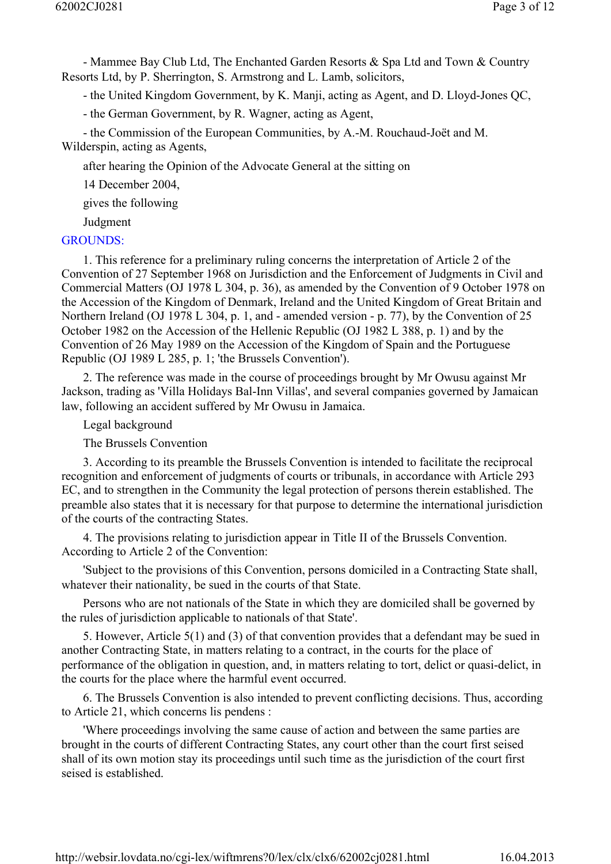- Mammee Bay Club Ltd, The Enchanted Garden Resorts & Spa Ltd and Town & Country Resorts Ltd, by P. Sherrington, S. Armstrong and L. Lamb, solicitors,

- the United Kingdom Government, by K. Manji, acting as Agent, and D. Lloyd-Jones QC,

- the German Government, by R. Wagner, acting as Agent,

- the Commission of the European Communities, by A.-M. Rouchaud-Joët and M. Wilderspin, acting as Agents,

after hearing the Opinion of the Advocate General at the sitting on

14 December 2004,

gives the following

Judgment

#### GROUNDS:

 1. This reference for a preliminary ruling concerns the interpretation of Article 2 of the Convention of 27 September 1968 on Jurisdiction and the Enforcement of Judgments in Civil and Commercial Matters (OJ 1978 L 304, p. 36), as amended by the Convention of 9 October 1978 on the Accession of the Kingdom of Denmark, Ireland and the United Kingdom of Great Britain and Northern Ireland (OJ 1978 L 304, p. 1, and - amended version - p. 77), by the Convention of 25 October 1982 on the Accession of the Hellenic Republic (OJ 1982 L 388, p. 1) and by the Convention of 26 May 1989 on the Accession of the Kingdom of Spain and the Portuguese Republic (OJ 1989 L 285, p. 1; 'the Brussels Convention').

 2. The reference was made in the course of proceedings brought by Mr Owusu against Mr Jackson, trading as 'Villa Holidays Bal-Inn Villas', and several companies governed by Jamaican law, following an accident suffered by Mr Owusu in Jamaica.

Legal background

The Brussels Convention

 3. According to its preamble the Brussels Convention is intended to facilitate the reciprocal recognition and enforcement of judgments of courts or tribunals, in accordance with Article 293 EC, and to strengthen in the Community the legal protection of persons therein established. The preamble also states that it is necessary for that purpose to determine the international jurisdiction of the courts of the contracting States.

 4. The provisions relating to jurisdiction appear in Title II of the Brussels Convention. According to Article 2 of the Convention:

 'Subject to the provisions of this Convention, persons domiciled in a Contracting State shall, whatever their nationality, be sued in the courts of that State.

 Persons who are not nationals of the State in which they are domiciled shall be governed by the rules of jurisdiction applicable to nationals of that State'.

 5. However, Article 5(1) and (3) of that convention provides that a defendant may be sued in another Contracting State, in matters relating to a contract, in the courts for the place of performance of the obligation in question, and, in matters relating to tort, delict or quasi-delict, in the courts for the place where the harmful event occurred.

 6. The Brussels Convention is also intended to prevent conflicting decisions. Thus, according to Article 21, which concerns lis pendens :

 'Where proceedings involving the same cause of action and between the same parties are brought in the courts of different Contracting States, any court other than the court first seised shall of its own motion stay its proceedings until such time as the jurisdiction of the court first seised is established.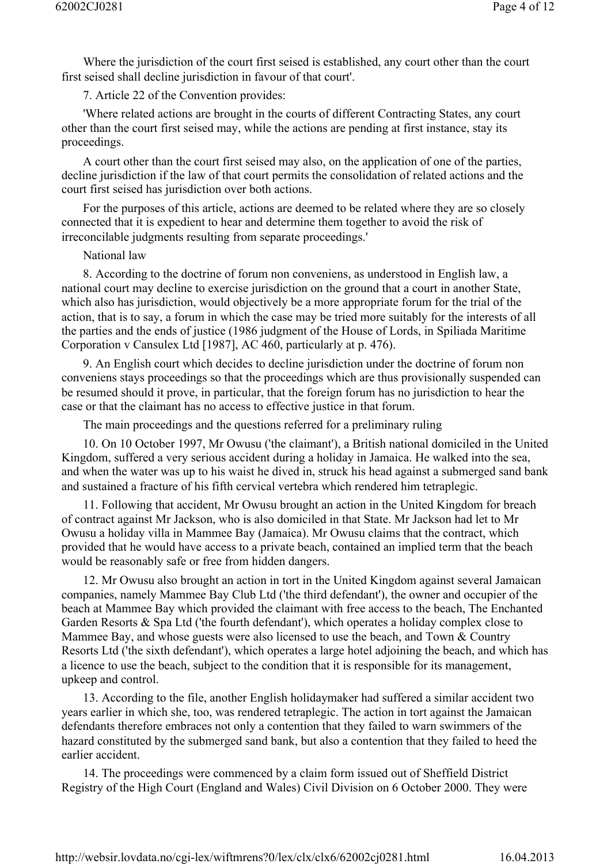Where the jurisdiction of the court first seised is established, any court other than the court first seised shall decline jurisdiction in favour of that court'.

7. Article 22 of the Convention provides:

 'Where related actions are brought in the courts of different Contracting States, any court other than the court first seised may, while the actions are pending at first instance, stay its proceedings.

 A court other than the court first seised may also, on the application of one of the parties, decline jurisdiction if the law of that court permits the consolidation of related actions and the court first seised has jurisdiction over both actions.

 For the purposes of this article, actions are deemed to be related where they are so closely connected that it is expedient to hear and determine them together to avoid the risk of irreconcilable judgments resulting from separate proceedings.'

## National law

 8. According to the doctrine of forum non conveniens, as understood in English law, a national court may decline to exercise jurisdiction on the ground that a court in another State, which also has jurisdiction, would objectively be a more appropriate forum for the trial of the action, that is to say, a forum in which the case may be tried more suitably for the interests of all the parties and the ends of justice (1986 judgment of the House of Lords, in Spiliada Maritime Corporation v Cansulex Ltd [1987], AC 460, particularly at p. 476).

 9. An English court which decides to decline jurisdiction under the doctrine of forum non conveniens stays proceedings so that the proceedings which are thus provisionally suspended can be resumed should it prove, in particular, that the foreign forum has no jurisdiction to hear the case or that the claimant has no access to effective justice in that forum.

The main proceedings and the questions referred for a preliminary ruling

 10. On 10 October 1997, Mr Owusu ('the claimant'), a British national domiciled in the United Kingdom, suffered a very serious accident during a holiday in Jamaica. He walked into the sea, and when the water was up to his waist he dived in, struck his head against a submerged sand bank and sustained a fracture of his fifth cervical vertebra which rendered him tetraplegic.

 11. Following that accident, Mr Owusu brought an action in the United Kingdom for breach of contract against Mr Jackson, who is also domiciled in that State. Mr Jackson had let to Mr Owusu a holiday villa in Mammee Bay (Jamaica). Mr Owusu claims that the contract, which provided that he would have access to a private beach, contained an implied term that the beach would be reasonably safe or free from hidden dangers.

 12. Mr Owusu also brought an action in tort in the United Kingdom against several Jamaican companies, namely Mammee Bay Club Ltd ('the third defendant'), the owner and occupier of the beach at Mammee Bay which provided the claimant with free access to the beach, The Enchanted Garden Resorts & Spa Ltd ('the fourth defendant'), which operates a holiday complex close to Mammee Bay, and whose guests were also licensed to use the beach, and Town & Country Resorts Ltd ('the sixth defendant'), which operates a large hotel adjoining the beach, and which has a licence to use the beach, subject to the condition that it is responsible for its management, upkeep and control.

 13. According to the file, another English holidaymaker had suffered a similar accident two years earlier in which she, too, was rendered tetraplegic. The action in tort against the Jamaican defendants therefore embraces not only a contention that they failed to warn swimmers of the hazard constituted by the submerged sand bank, but also a contention that they failed to heed the earlier accident.

 14. The proceedings were commenced by a claim form issued out of Sheffield District Registry of the High Court (England and Wales) Civil Division on 6 October 2000. They were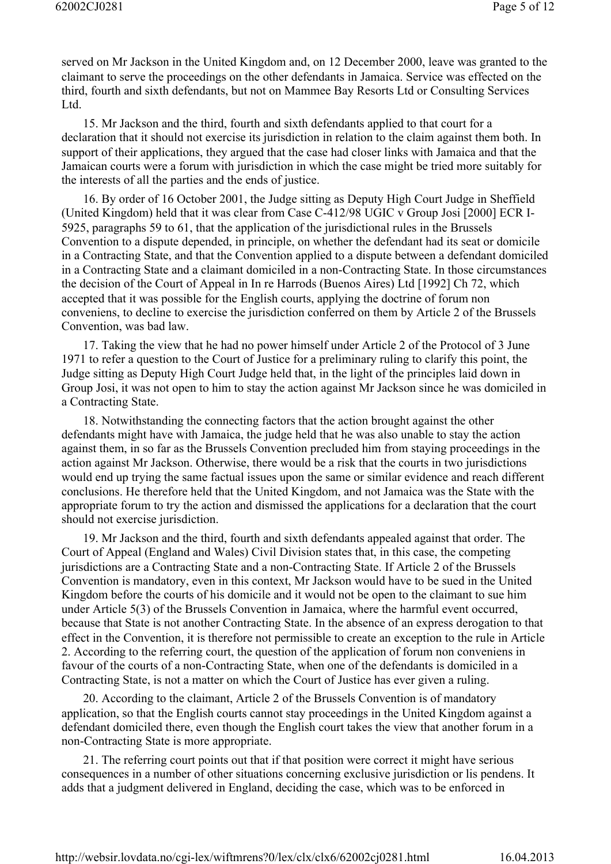served on Mr Jackson in the United Kingdom and, on 12 December 2000, leave was granted to the claimant to serve the proceedings on the other defendants in Jamaica. Service was effected on the third, fourth and sixth defendants, but not on Mammee Bay Resorts Ltd or Consulting Services Ltd.

 15. Mr Jackson and the third, fourth and sixth defendants applied to that court for a declaration that it should not exercise its jurisdiction in relation to the claim against them both. In support of their applications, they argued that the case had closer links with Jamaica and that the Jamaican courts were a forum with jurisdiction in which the case might be tried more suitably for the interests of all the parties and the ends of justice.

 16. By order of 16 October 2001, the Judge sitting as Deputy High Court Judge in Sheffield (United Kingdom) held that it was clear from Case C-412/98 UGIC v Group Josi [2000] ECR I-5925, paragraphs 59 to 61, that the application of the jurisdictional rules in the Brussels Convention to a dispute depended, in principle, on whether the defendant had its seat or domicile in a Contracting State, and that the Convention applied to a dispute between a defendant domiciled in a Contracting State and a claimant domiciled in a non-Contracting State. In those circumstances the decision of the Court of Appeal in In re Harrods (Buenos Aires) Ltd [1992] Ch 72, which accepted that it was possible for the English courts, applying the doctrine of forum non conveniens, to decline to exercise the jurisdiction conferred on them by Article 2 of the Brussels Convention, was bad law.

 17. Taking the view that he had no power himself under Article 2 of the Protocol of 3 June 1971 to refer a question to the Court of Justice for a preliminary ruling to clarify this point, the Judge sitting as Deputy High Court Judge held that, in the light of the principles laid down in Group Josi, it was not open to him to stay the action against Mr Jackson since he was domiciled in a Contracting State.

 18. Notwithstanding the connecting factors that the action brought against the other defendants might have with Jamaica, the judge held that he was also unable to stay the action against them, in so far as the Brussels Convention precluded him from staying proceedings in the action against Mr Jackson. Otherwise, there would be a risk that the courts in two jurisdictions would end up trying the same factual issues upon the same or similar evidence and reach different conclusions. He therefore held that the United Kingdom, and not Jamaica was the State with the appropriate forum to try the action and dismissed the applications for a declaration that the court should not exercise jurisdiction.

 19. Mr Jackson and the third, fourth and sixth defendants appealed against that order. The Court of Appeal (England and Wales) Civil Division states that, in this case, the competing jurisdictions are a Contracting State and a non-Contracting State. If Article 2 of the Brussels Convention is mandatory, even in this context, Mr Jackson would have to be sued in the United Kingdom before the courts of his domicile and it would not be open to the claimant to sue him under Article 5(3) of the Brussels Convention in Jamaica, where the harmful event occurred, because that State is not another Contracting State. In the absence of an express derogation to that effect in the Convention, it is therefore not permissible to create an exception to the rule in Article 2. According to the referring court, the question of the application of forum non conveniens in favour of the courts of a non-Contracting State, when one of the defendants is domiciled in a Contracting State, is not a matter on which the Court of Justice has ever given a ruling.

 20. According to the claimant, Article 2 of the Brussels Convention is of mandatory application, so that the English courts cannot stay proceedings in the United Kingdom against a defendant domiciled there, even though the English court takes the view that another forum in a non-Contracting State is more appropriate.

 21. The referring court points out that if that position were correct it might have serious consequences in a number of other situations concerning exclusive jurisdiction or lis pendens. It adds that a judgment delivered in England, deciding the case, which was to be enforced in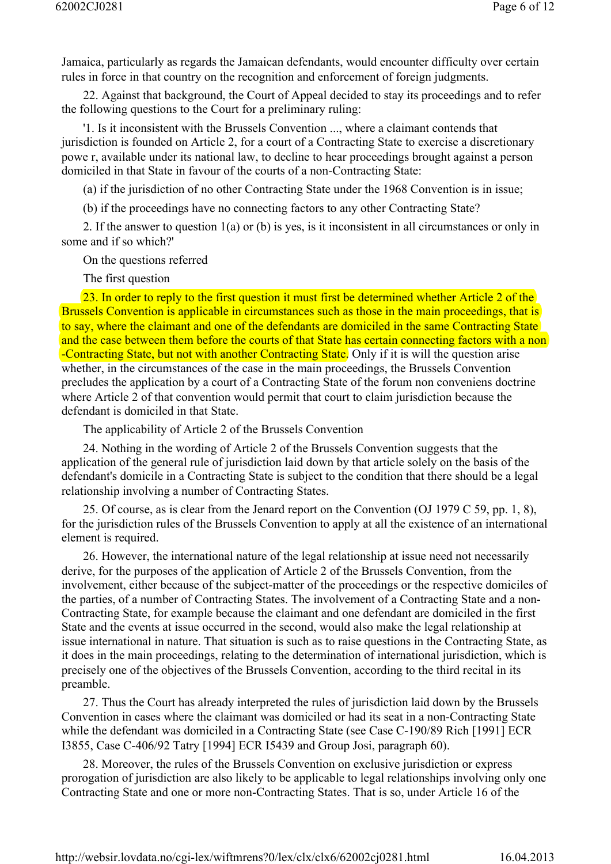Jamaica, particularly as regards the Jamaican defendants, would encounter difficulty over certain rules in force in that country on the recognition and enforcement of foreign judgments.

22. Against that background, the Court of Appeal decided to stay its proceedings and to refer the following questions to the Court for a preliminary ruling:

 '1. Is it inconsistent with the Brussels Convention ..., where a claimant contends that jurisdiction is founded on Article 2, for a court of a Contracting State to exercise a discretionary powe r, available under its national law, to decline to hear proceedings brought against a person domiciled in that State in favour of the courts of a non-Contracting State:

(a) if the jurisdiction of no other Contracting State under the 1968 Convention is in issue;

(b) if the proceedings have no connecting factors to any other Contracting State?

 2. If the answer to question 1(a) or (b) is yes, is it inconsistent in all circumstances or only in some and if so which?'

On the questions referred

The first question

23. In order to reply to the first question it must first be determined whether Article 2 of the Brussels Convention is applicable in circumstances such as those in the main proceedings, that is to say, where the claimant and one of the defendants are domiciled in the same Contracting State and the case between them before the courts of that State has certain connecting factors with a non -Contracting State, but not with another Contracting State. Only if it is will the question arise whether, in the circumstances of the case in the main proceedings, the Brussels Convention precludes the application by a court of a Contracting State of the forum non conveniens doctrine where Article 2 of that convention would permit that court to claim jurisdiction because the defendant is domiciled in that State.

The applicability of Article 2 of the Brussels Convention

 24. Nothing in the wording of Article 2 of the Brussels Convention suggests that the application of the general rule of jurisdiction laid down by that article solely on the basis of the defendant's domicile in a Contracting State is subject to the condition that there should be a legal relationship involving a number of Contracting States.

 25. Of course, as is clear from the Jenard report on the Convention (OJ 1979 C 59, pp. 1, 8), for the jurisdiction rules of the Brussels Convention to apply at all the existence of an international element is required.

 26. However, the international nature of the legal relationship at issue need not necessarily derive, for the purposes of the application of Article 2 of the Brussels Convention, from the involvement, either because of the subject-matter of the proceedings or the respective domiciles of the parties, of a number of Contracting States. The involvement of a Contracting State and a non-Contracting State, for example because the claimant and one defendant are domiciled in the first State and the events at issue occurred in the second, would also make the legal relationship at issue international in nature. That situation is such as to raise questions in the Contracting State, as it does in the main proceedings, relating to the determination of international jurisdiction, which is precisely one of the objectives of the Brussels Convention, according to the third recital in its preamble.

 27. Thus the Court has already interpreted the rules of jurisdiction laid down by the Brussels Convention in cases where the claimant was domiciled or had its seat in a non-Contracting State while the defendant was domiciled in a Contracting State (see Case C-190/89 Rich [1991] ECR I3855, Case C-406/92 Tatry [1994] ECR I5439 and Group Josi, paragraph 60).

 28. Moreover, the rules of the Brussels Convention on exclusive jurisdiction or express prorogation of jurisdiction are also likely to be applicable to legal relationships involving only one Contracting State and one or more non-Contracting States. That is so, under Article 16 of the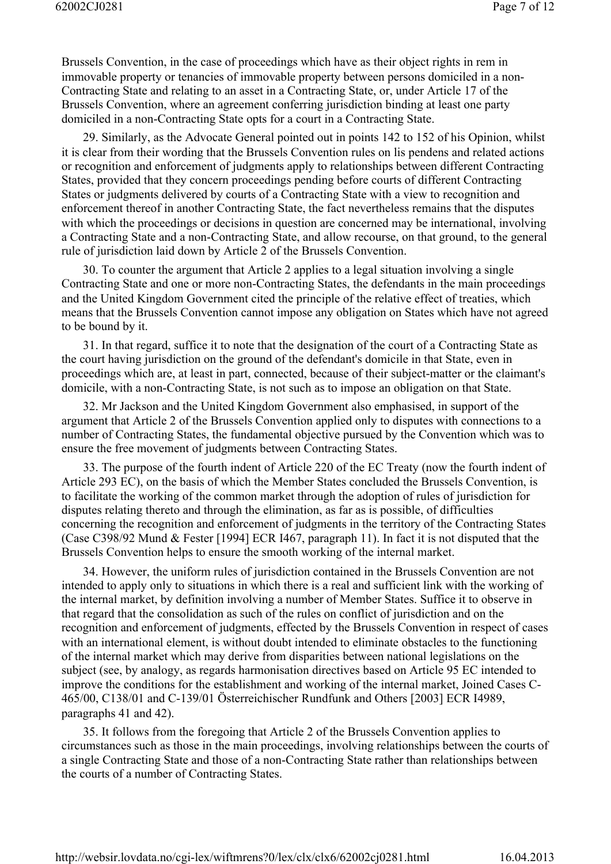Brussels Convention, in the case of proceedings which have as their object rights in rem in immovable property or tenancies of immovable property between persons domiciled in a non-Contracting State and relating to an asset in a Contracting State, or, under Article 17 of the Brussels Convention, where an agreement conferring jurisdiction binding at least one party domiciled in a non-Contracting State opts for a court in a Contracting State.

 29. Similarly, as the Advocate General pointed out in points 142 to 152 of his Opinion, whilst it is clear from their wording that the Brussels Convention rules on lis pendens and related actions or recognition and enforcement of judgments apply to relationships between different Contracting States, provided that they concern proceedings pending before courts of different Contracting States or judgments delivered by courts of a Contracting State with a view to recognition and enforcement thereof in another Contracting State, the fact nevertheless remains that the disputes with which the proceedings or decisions in question are concerned may be international, involving a Contracting State and a non-Contracting State, and allow recourse, on that ground, to the general rule of jurisdiction laid down by Article 2 of the Brussels Convention.

 30. To counter the argument that Article 2 applies to a legal situation involving a single Contracting State and one or more non-Contracting States, the defendants in the main proceedings and the United Kingdom Government cited the principle of the relative effect of treaties, which means that the Brussels Convention cannot impose any obligation on States which have not agreed to be bound by it.

 31. In that regard, suffice it to note that the designation of the court of a Contracting State as the court having jurisdiction on the ground of the defendant's domicile in that State, even in proceedings which are, at least in part, connected, because of their subject-matter or the claimant's domicile, with a non-Contracting State, is not such as to impose an obligation on that State.

 32. Mr Jackson and the United Kingdom Government also emphasised, in support of the argument that Article 2 of the Brussels Convention applied only to disputes with connections to a number of Contracting States, the fundamental objective pursued by the Convention which was to ensure the free movement of judgments between Contracting States.

 33. The purpose of the fourth indent of Article 220 of the EC Treaty (now the fourth indent of Article 293 EC), on the basis of which the Member States concluded the Brussels Convention, is to facilitate the working of the common market through the adoption of rules of jurisdiction for disputes relating thereto and through the elimination, as far as is possible, of difficulties concerning the recognition and enforcement of judgments in the territory of the Contracting States (Case C398/92 Mund & Fester [1994] ECR I467, paragraph 11). In fact it is not disputed that the Brussels Convention helps to ensure the smooth working of the internal market.

 34. However, the uniform rules of jurisdiction contained in the Brussels Convention are not intended to apply only to situations in which there is a real and sufficient link with the working of the internal market, by definition involving a number of Member States. Suffice it to observe in that regard that the consolidation as such of the rules on conflict of jurisdiction and on the recognition and enforcement of judgments, effected by the Brussels Convention in respect of cases with an international element, is without doubt intended to eliminate obstacles to the functioning of the internal market which may derive from disparities between national legislations on the subject (see, by analogy, as regards harmonisation directives based on Article 95 EC intended to improve the conditions for the establishment and working of the internal market, Joined Cases C-465/00, C138/01 and C-139/01 Österreichischer Rundfunk and Others [2003] ECR I4989, paragraphs 41 and 42).

 35. It follows from the foregoing that Article 2 of the Brussels Convention applies to circumstances such as those in the main proceedings, involving relationships between the courts of a single Contracting State and those of a non-Contracting State rather than relationships between the courts of a number of Contracting States.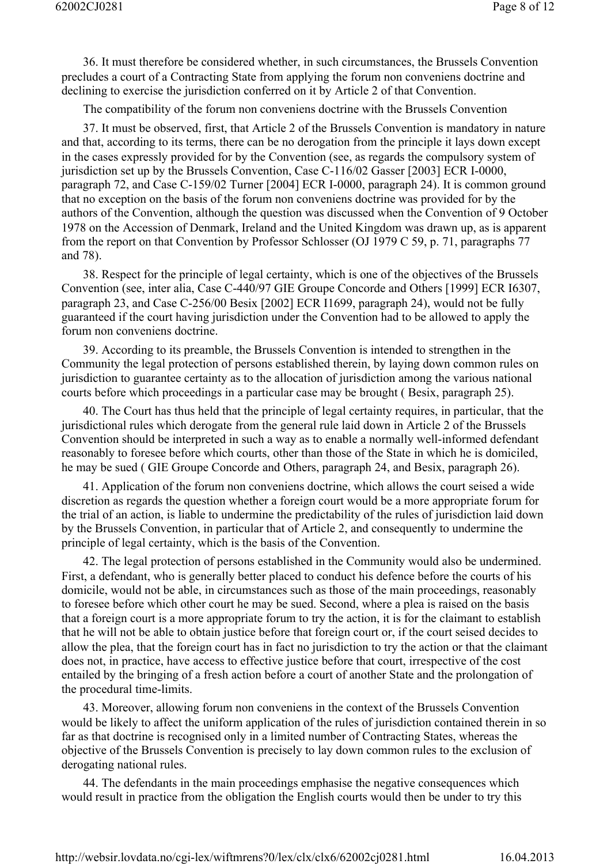36. It must therefore be considered whether, in such circumstances, the Brussels Convention precludes a court of a Contracting State from applying the forum non conveniens doctrine and declining to exercise the jurisdiction conferred on it by Article 2 of that Convention.

The compatibility of the forum non conveniens doctrine with the Brussels Convention

 37. It must be observed, first, that Article 2 of the Brussels Convention is mandatory in nature and that, according to its terms, there can be no derogation from the principle it lays down except in the cases expressly provided for by the Convention (see, as regards the compulsory system of jurisdiction set up by the Brussels Convention, Case C-116/02 Gasser [2003] ECR I-0000, paragraph 72, and Case C-159/02 Turner [2004] ECR I-0000, paragraph 24). It is common ground that no exception on the basis of the forum non conveniens doctrine was provided for by the authors of the Convention, although the question was discussed when the Convention of 9 October 1978 on the Accession of Denmark, Ireland and the United Kingdom was drawn up, as is apparent from the report on that Convention by Professor Schlosser (OJ 1979 C 59, p. 71, paragraphs 77 and 78).

 38. Respect for the principle of legal certainty, which is one of the objectives of the Brussels Convention (see, inter alia, Case C-440/97 GIE Groupe Concorde and Others [1999] ECR I6307, paragraph 23, and Case C-256/00 Besix [2002] ECR I1699, paragraph 24), would not be fully guaranteed if the court having jurisdiction under the Convention had to be allowed to apply the forum non conveniens doctrine.

 39. According to its preamble, the Brussels Convention is intended to strengthen in the Community the legal protection of persons established therein, by laying down common rules on jurisdiction to guarantee certainty as to the allocation of jurisdiction among the various national courts before which proceedings in a particular case may be brought ( Besix, paragraph 25).

 40. The Court has thus held that the principle of legal certainty requires, in particular, that the jurisdictional rules which derogate from the general rule laid down in Article 2 of the Brussels Convention should be interpreted in such a way as to enable a normally well-informed defendant reasonably to foresee before which courts, other than those of the State in which he is domiciled, he may be sued ( GIE Groupe Concorde and Others, paragraph 24, and Besix, paragraph 26).

 41. Application of the forum non conveniens doctrine, which allows the court seised a wide discretion as regards the question whether a foreign court would be a more appropriate forum for the trial of an action, is liable to undermine the predictability of the rules of jurisdiction laid down by the Brussels Convention, in particular that of Article 2, and consequently to undermine the principle of legal certainty, which is the basis of the Convention.

 42. The legal protection of persons established in the Community would also be undermined. First, a defendant, who is generally better placed to conduct his defence before the courts of his domicile, would not be able, in circumstances such as those of the main proceedings, reasonably to foresee before which other court he may be sued. Second, where a plea is raised on the basis that a foreign court is a more appropriate forum to try the action, it is for the claimant to establish that he will not be able to obtain justice before that foreign court or, if the court seised decides to allow the plea, that the foreign court has in fact no jurisdiction to try the action or that the claimant does not, in practice, have access to effective justice before that court, irrespective of the cost entailed by the bringing of a fresh action before a court of another State and the prolongation of the procedural time-limits.

 43. Moreover, allowing forum non conveniens in the context of the Brussels Convention would be likely to affect the uniform application of the rules of jurisdiction contained therein in so far as that doctrine is recognised only in a limited number of Contracting States, whereas the objective of the Brussels Convention is precisely to lay down common rules to the exclusion of derogating national rules.

 44. The defendants in the main proceedings emphasise the negative consequences which would result in practice from the obligation the English courts would then be under to try this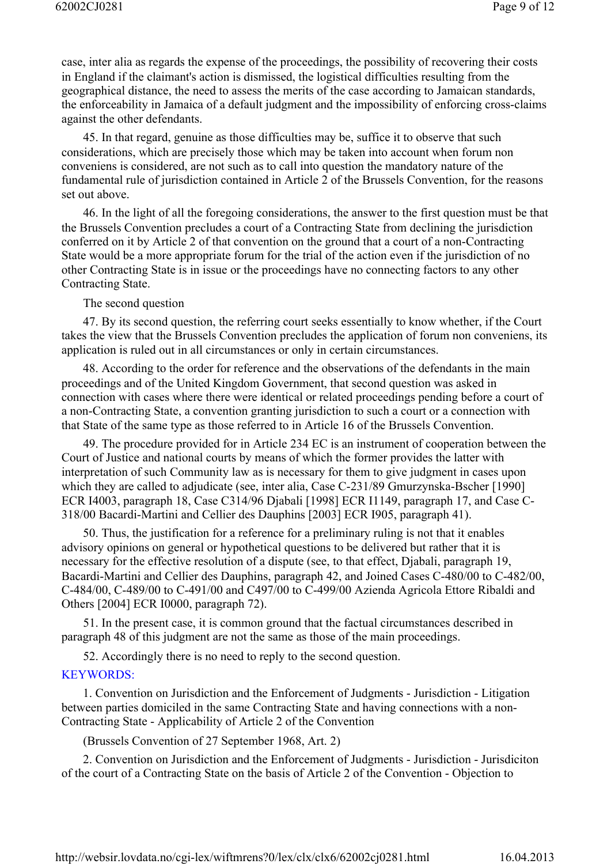case, inter alia as regards the expense of the proceedings, the possibility of recovering their costs in England if the claimant's action is dismissed, the logistical difficulties resulting from the geographical distance, the need to assess the merits of the case according to Jamaican standards, the enforceability in Jamaica of a default judgment and the impossibility of enforcing cross-claims against the other defendants.

 45. In that regard, genuine as those difficulties may be, suffice it to observe that such considerations, which are precisely those which may be taken into account when forum non conveniens is considered, are not such as to call into question the mandatory nature of the fundamental rule of jurisdiction contained in Article 2 of the Brussels Convention, for the reasons set out above.

 46. In the light of all the foregoing considerations, the answer to the first question must be that the Brussels Convention precludes a court of a Contracting State from declining the jurisdiction conferred on it by Article 2 of that convention on the ground that a court of a non-Contracting State would be a more appropriate forum for the trial of the action even if the jurisdiction of no other Contracting State is in issue or the proceedings have no connecting factors to any other Contracting State.

# The second question

 47. By its second question, the referring court seeks essentially to know whether, if the Court takes the view that the Brussels Convention precludes the application of forum non conveniens, its application is ruled out in all circumstances or only in certain circumstances.

 48. According to the order for reference and the observations of the defendants in the main proceedings and of the United Kingdom Government, that second question was asked in connection with cases where there were identical or related proceedings pending before a court of a non-Contracting State, a convention granting jurisdiction to such a court or a connection with that State of the same type as those referred to in Article 16 of the Brussels Convention.

 49. The procedure provided for in Article 234 EC is an instrument of cooperation between the Court of Justice and national courts by means of which the former provides the latter with interpretation of such Community law as is necessary for them to give judgment in cases upon which they are called to adjudicate (see, inter alia, Case C-231/89 Gmurzynska-Bscher [1990] ECR I4003, paragraph 18, Case C314/96 Djabali [1998] ECR I1149, paragraph 17, and Case C-318/00 Bacardi-Martini and Cellier des Dauphins [2003] ECR I905, paragraph 41).

 50. Thus, the justification for a reference for a preliminary ruling is not that it enables advisory opinions on general or hypothetical questions to be delivered but rather that it is necessary for the effective resolution of a dispute (see, to that effect, Djabali, paragraph 19, Bacardi-Martini and Cellier des Dauphins, paragraph 42, and Joined Cases C-480/00 to C-482/00, C-484/00, C-489/00 to C-491/00 and C497/00 to C-499/00 Azienda Agricola Ettore Ribaldi and Others [2004] ECR I0000, paragraph 72).

 51. In the present case, it is common ground that the factual circumstances described in paragraph 48 of this judgment are not the same as those of the main proceedings.

52. Accordingly there is no need to reply to the second question.

#### KEYWORDS:

 1. Convention on Jurisdiction and the Enforcement of Judgments - Jurisdiction - Litigation between parties domiciled in the same Contracting State and having connections with a non-Contracting State - Applicability of Article 2 of the Convention

(Brussels Convention of 27 September 1968, Art. 2)

 2. Convention on Jurisdiction and the Enforcement of Judgments - Jurisdiction - Jurisdiciton of the court of a Contracting State on the basis of Article 2 of the Convention - Objection to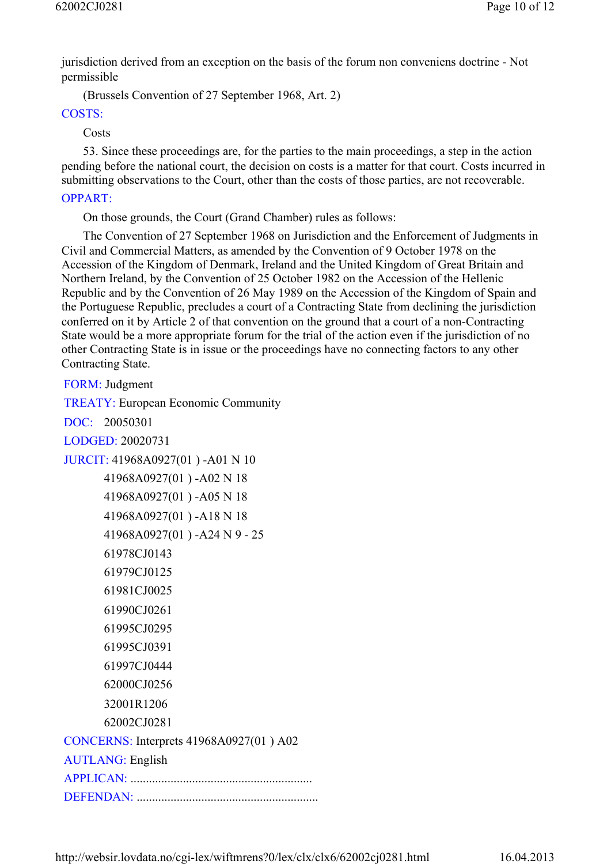jurisdiction derived from an exception on the basis of the forum non conveniens doctrine - Not permissible

(Brussels Convention of 27 September 1968, Art. 2)

# COSTS:

**Costs** 

 53. Since these proceedings are, for the parties to the main proceedings, a step in the action pending before the national court, the decision on costs is a matter for that court. Costs incurred in submitting observations to the Court, other than the costs of those parties, are not recoverable.

# OPPART:

On those grounds, the Court (Grand Chamber) rules as follows:

 The Convention of 27 September 1968 on Jurisdiction and the Enforcement of Judgments in Civil and Commercial Matters, as amended by the Convention of 9 October 1978 on the Accession of the Kingdom of Denmark, Ireland and the United Kingdom of Great Britain and Northern Ireland, by the Convention of 25 October 1982 on the Accession of the Hellenic Republic and by the Convention of 26 May 1989 on the Accession of the Kingdom of Spain and the Portuguese Republic, precludes a court of a Contracting State from declining the jurisdiction conferred on it by Article 2 of that convention on the ground that a court of a non-Contracting State would be a more appropriate forum for the trial of the action even if the jurisdiction of no other Contracting State is in issue or the proceedings have no connecting factors to any other Contracting State.

FORM: Judgment

TREATY: European Economic Community

```
DOC: 20050301 
LODGED: 20020731 
JURCIT: 41968A0927(01 ) -A01 N 10 
        41968A0927(01 ) -A02 N 18 
        41968A0927(01 ) -A05 N 18 
        41968A0927(01 ) -A18 N 18 
        41968A0927(01 ) -A24 N 9 - 25 
        61978CJ0143 
        61979CJ0125 
        61981CJ0025 
        61990CJ0261 
        61995CJ0295 
        61995CJ0391 
        61997CJ0444 
        62000CJ0256 
        32001R1206 
        62002CJ0281 
CONCERNS: Interprets 41968A0927(01 ) A02 
AUTLANG: English 
APPLICAN: ........................................................... 
DEFENDAN: ...........................................................
```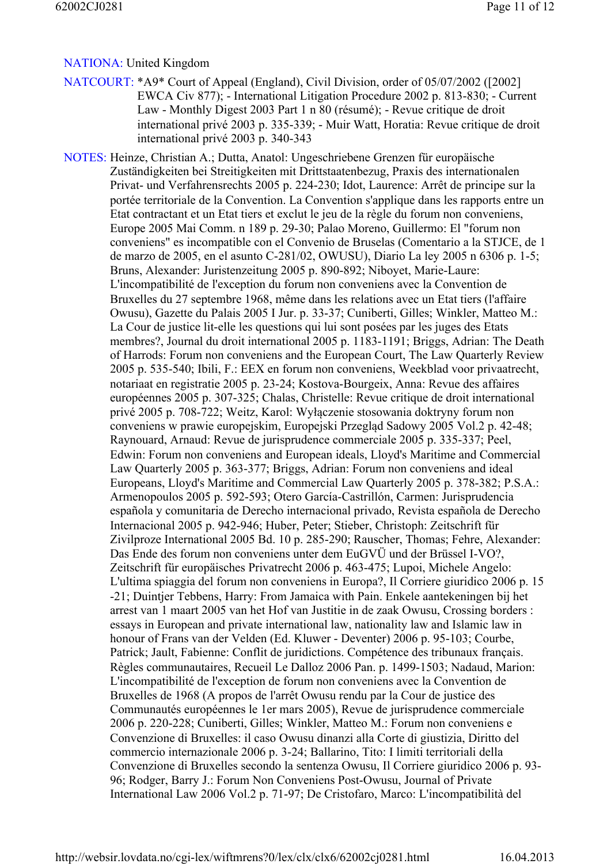# NATIONA: United Kingdom

NATCOURT: \*A9\* Court of Appeal (England), Civil Division, order of 05/07/2002 ([2002] EWCA Civ 877); - International Litigation Procedure 2002 p. 813-830; - Current Law - Monthly Digest 2003 Part 1 n 80 (résumé); - Revue critique de droit international privé 2003 p. 335-339; - Muir Watt, Horatia: Revue critique de droit international privé 2003 p. 340-343

NOTES: Heinze, Christian A.; Dutta, Anatol: Ungeschriebene Grenzen für europäische Zuständigkeiten bei Streitigkeiten mit Drittstaatenbezug, Praxis des internationalen Privat- und Verfahrensrechts 2005 p. 224-230; Idot, Laurence: Arrêt de principe sur la portée territoriale de la Convention. La Convention s'applique dans les rapports entre un Etat contractant et un Etat tiers et exclut le jeu de la règle du forum non conveniens, Europe 2005 Mai Comm. n 189 p. 29-30; Palao Moreno, Guillermo: El "forum non conveniens" es incompatible con el Convenio de Bruselas (Comentario a la STJCE, de 1 de marzo de 2005, en el asunto C-281/02, OWUSU), Diario La ley 2005 n 6306 p. 1-5; Bruns, Alexander: Juristenzeitung 2005 p. 890-892; Niboyet, Marie-Laure: L'incompatibilité de l'exception du forum non conveniens avec la Convention de Bruxelles du 27 septembre 1968, même dans les relations avec un Etat tiers (l'affaire Owusu), Gazette du Palais 2005 I Jur. p. 33-37; Cuniberti, Gilles; Winkler, Matteo M.: La Cour de justice lit-elle les questions qui lui sont posées par les juges des Etats membres?, Journal du droit international 2005 p. 1183-1191; Briggs, Adrian: The Death of Harrods: Forum non conveniens and the European Court, The Law Quarterly Review 2005 p. 535-540; Ibili, F.: EEX en forum non conveniens, Weekblad voor privaatrecht, notariaat en registratie 2005 p. 23-24; Kostova-Bourgeix, Anna: Revue des affaires européennes 2005 p. 307-325; Chalas, Christelle: Revue critique de droit international privé 2005 p. 708-722; Weitz, Karol: Wyłączenie stosowania doktryny forum non conveniens w prawie europejskim, Europejski Przegląd Sadowy 2005 Vol.2 p. 42-48; Raynouard, Arnaud: Revue de jurisprudence commerciale 2005 p. 335-337; Peel, Edwin: Forum non conveniens and European ideals, Lloyd's Maritime and Commercial Law Quarterly 2005 p. 363-377; Briggs, Adrian: Forum non conveniens and ideal Europeans, Lloyd's Maritime and Commercial Law Quarterly 2005 p. 378-382; P.S.A.: Armenopoulos 2005 p. 592-593; Otero García-Castrillón, Carmen: Jurisprudencia española y comunitaria de Derecho internacional privado, Revista española de Derecho Internacional 2005 p. 942-946; Huber, Peter; Stieber, Christoph: Zeitschrift für Zivilproze International 2005 Bd. 10 p. 285-290; Rauscher, Thomas; Fehre, Alexander: Das Ende des forum non conveniens unter dem EuGVÜ und der Brüssel I-VO?, Zeitschrift für europäisches Privatrecht 2006 p. 463-475; Lupoi, Michele Angelo: L'ultima spiaggia del forum non conveniens in Europa?, Il Corriere giuridico 2006 p. 15 -21; Duintjer Tebbens, Harry: From Jamaica with Pain. Enkele aantekeningen bij het arrest van 1 maart 2005 van het Hof van Justitie in de zaak Owusu, Crossing borders : essays in European and private international law, nationality law and Islamic law in honour of Frans van der Velden (Ed. Kluwer - Deventer) 2006 p. 95-103; Courbe, Patrick; Jault, Fabienne: Conflit de juridictions. Compétence des tribunaux français. Règles communautaires, Recueil Le Dalloz 2006 Pan. p. 1499-1503; Nadaud, Marion: L'incompatibilité de l'exception de forum non conveniens avec la Convention de Bruxelles de 1968 (A propos de l'arrêt Owusu rendu par la Cour de justice des Communautés européennes le 1er mars 2005), Revue de jurisprudence commerciale 2006 p. 220-228; Cuniberti, Gilles; Winkler, Matteo M.: Forum non conveniens e Convenzione di Bruxelles: il caso Owusu dinanzi alla Corte di giustizia, Diritto del commercio internazionale 2006 p. 3-24; Ballarino, Tito: I limiti territoriali della Convenzione di Bruxelles secondo la sentenza Owusu, Il Corriere giuridico 2006 p. 93- 96; Rodger, Barry J.: Forum Non Conveniens Post-Owusu, Journal of Private International Law 2006 Vol.2 p. 71-97; De Cristofaro, Marco: L'incompatibilità del